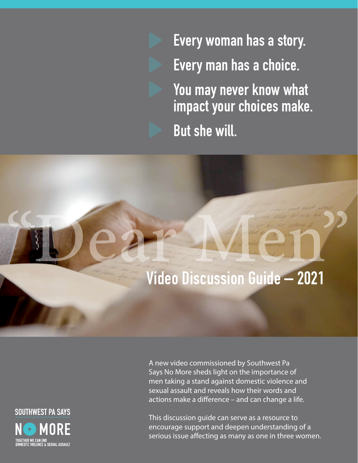Every woman has a story. Every man has a choice. You may never know what impact your choices make. But she will.



A new video commissioned by Southwest Pa Says No More sheds light on the importance of men taking a stand against domestic violence and sexual assault and reveals how their words and actions make a difference – and can change a life.

This discussion guide can serve as a resource to encourage support and deepen understanding of a serious issue affecting as many as one in three women.

**SOUTHWEST PA SAYS MORE** TOGETHER WE CAN END<br>DOMESTIC VIOLENCE & SEXUAL ASSAULT